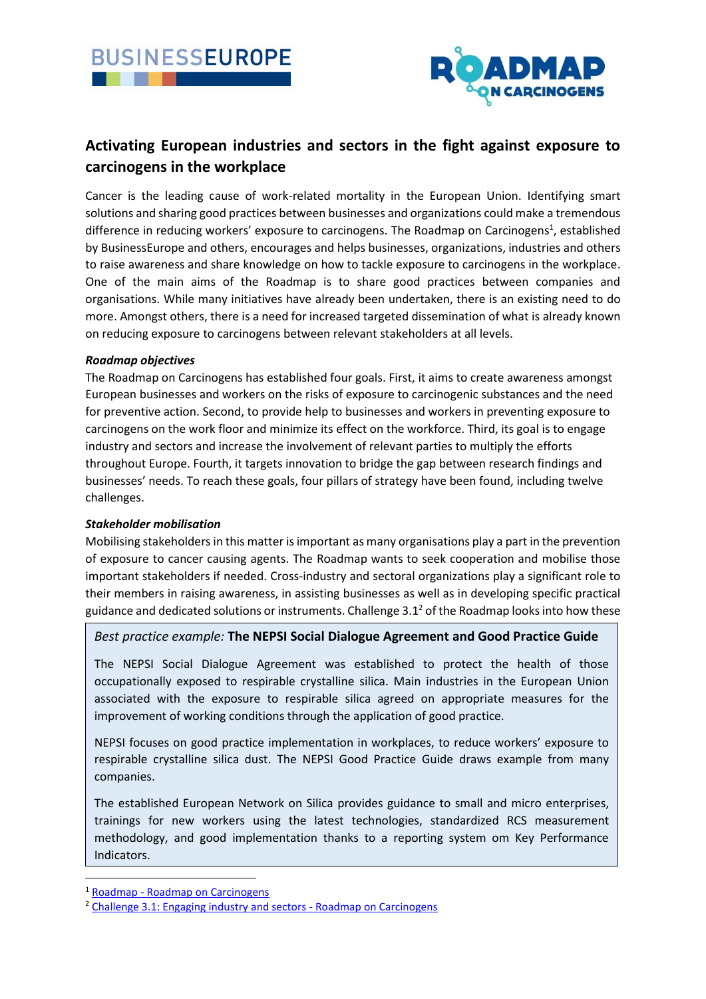



# **Activating European industries and sectors in the fight against exposure to carcinogens in the workplace**

Cancer is the leading cause of work-related mortality in the European Union. Identifying smart solutions and sharing good practices between businesses and organizations could make a tremendous difference in reducing workers' exposure to carcinogens. The Roadmap on Carcinogens<sup>1</sup>, established by BusinessEurope and others, encourages and helps businesses, organizations, industries and others to raise awareness and share knowledge on how to tackle exposure to carcinogens in the workplace. One of the main aims of the Roadmap is to share good practices between companies and organisations. While many initiatives have already been undertaken, there is an existing need to do more. Amongst others, there is a need for increased targeted dissemination of what is already known on reducing exposure to carcinogens between relevant stakeholders at all levels.

#### *Roadmap objectives*

The Roadmap on Carcinogens has established four goals. First, it aims to create awareness amongst European businesses and workers on the risks of exposure to carcinogenic substances and the need for preventive action. Second, to provide help to businesses and workers in preventing exposure to carcinogens on the work floor and minimize its effect on the workforce. Third, its goal is to engage industry and sectors and increase the involvement of relevant parties to multiply the efforts throughout Europe. Fourth, it targets innovation to bridge the gap between research findings and businesses' needs. To reach these goals, four pillars of strategy have been found, including twelve challenges.

#### *Stakeholder mobilisation*

Mobilising stakeholders in this matter is important as many organisations play a part in the prevention of exposure to cancer causing agents. The Roadmap wants to seek cooperation and mobilise those important stakeholders if needed. Cross-industry and sectoral organizations play a significant role to their members in raising awareness, in assisting businesses as well as in developing specific practical guidance and dedicated solutions or instruments. Challenge  $3.1<sup>2</sup>$  of the Roadmap looks into how these

#### *Best practice example:* **The NEPSI Social Dialogue Agreement and Good Practice Guide**

The NEPSI Social Dialogue Agreement was established to protect the health of those occupationally exposed to respirable crystalline silica. Main industries in the European Union associated with the exposure to respirable silica agreed on appropriate measures for the improvement of working conditions through the application of good practice.

NEPSI focuses on good practice implementation in workplaces, to reduce workers' exposure to respirable crystalline silica dust. The NEPSI Good Practice Guide draws example from many companies.

The established European Network on Silica provides guidance to small and micro enterprises, trainings for new workers using the latest technologies, standardized RCS measurement methodology, and good implementation thanks to a reporting system om Key Performance Indicators.

<sup>1</sup> Roadmap - [Roadmap on Carcinogens](https://roadmaponcarcinogens.eu/)

<sup>&</sup>lt;sup>2</sup> [Challenge 3.1: Engaging industry and sectors -](https://roadmaponcarcinogens.eu/strategy/challenge-3-1-engaging-industry-and-sectors/) Roadmap on Carcinogens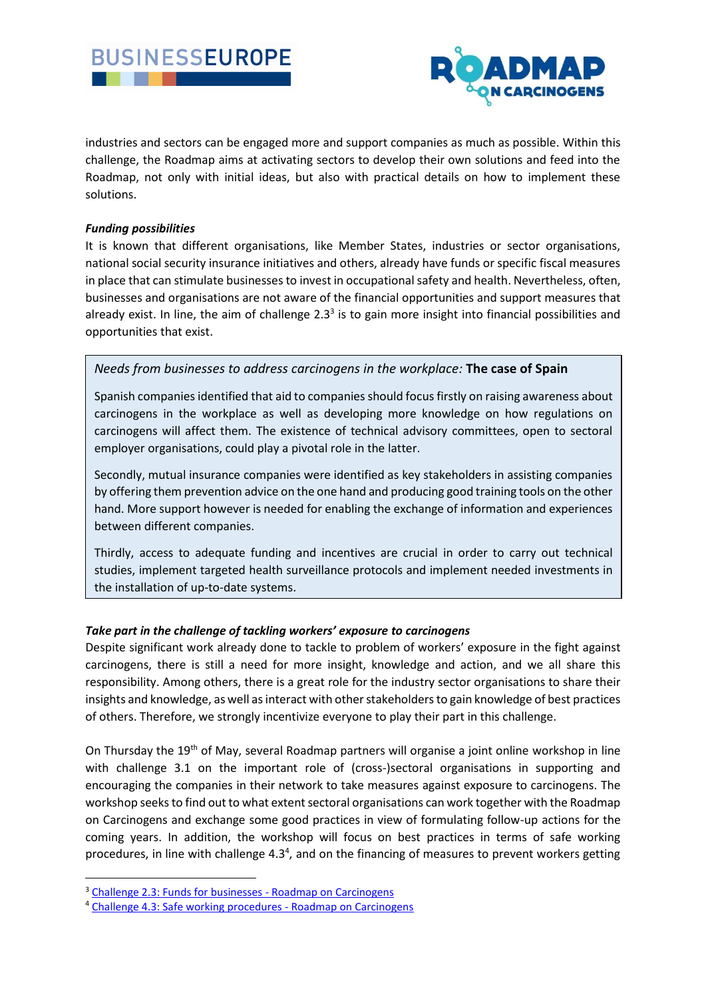



industries and sectors can be engaged more and support companies as much as possible. Within this challenge, the Roadmap aims at activating sectors to develop their own solutions and feed into the Roadmap, not only with initial ideas, but also with practical details on how to implement these solutions.

### *Funding possibilities*

It is known that different organisations, like Member States, industries or sector organisations, national social security insurance initiatives and others, already have funds or specific fiscal measures in place that can stimulate businesses to invest in occupational safety and health. Nevertheless, often, businesses and organisations are not aware of the financial opportunities and support measures that already exist. In line, the aim of challenge 2.3<sup>3</sup> is to gain more insight into financial possibilities and opportunities that exist.

## *Needs from businesses to address carcinogens in the workplace:* **The case of Spain**

Spanish companies identified that aid to companies should focus firstly on raising awareness about carcinogens in the workplace as well as developing more knowledge on how regulations on carcinogens will affect them. The existence of technical advisory committees, open to sectoral employer organisations, could play a pivotal role in the latter.

Secondly, mutual insurance companies were identified as key stakeholders in assisting companies by offering them prevention advice on the one hand and producing good training tools on the other hand. More support however is needed for enabling the exchange of information and experiences between different companies.

Thirdly, access to adequate funding and incentives are crucial in order to carry out technical studies, implement targeted health surveillance protocols and implement needed investments in the installation of up-to-date systems.

## *Take part in the challenge of tackling workers' exposure to carcinogens*

Despite significant work already done to tackle to problem of workers' exposure in the fight against carcinogens, there is still a need for more insight, knowledge and action, and we all share this responsibility. Among others, there is a great role for the industry sector organisations to share their insights and knowledge, as well as interact with other stakeholders to gain knowledge of best practices of others. Therefore, we strongly incentivize everyone to play their part in this challenge.

On Thursday the 19<sup>th</sup> of May, several Roadmap partners will organise a joint online workshop in line with challenge 3.1 on the important role of (cross-)sectoral organisations in supporting and encouraging the companies in their network to take measures against exposure to carcinogens. The workshop seeks to find out to what extent sectoral organisations can work together with the Roadmap on Carcinogens and exchange some good practices in view of formulating follow-up actions for the coming years. In addition, the workshop will focus on best practices in terms of safe working procedures, in line with challenge 4.3<sup>4</sup>, and on the financing of measures to prevent workers getting

<sup>&</sup>lt;sup>3</sup> [Challenge 2.3: Funds for businesses -](https://roadmaponcarcinogens.eu/strategy/challenge-2-3-funds-for-businesses/) Roadmap on Carcinogens

<sup>4</sup> [Challenge 4.3: Safe working procedures -](https://roadmaponcarcinogens.eu/strategy/challenge-4-3-safe-working-procedures/) Roadmap on Carcinogens